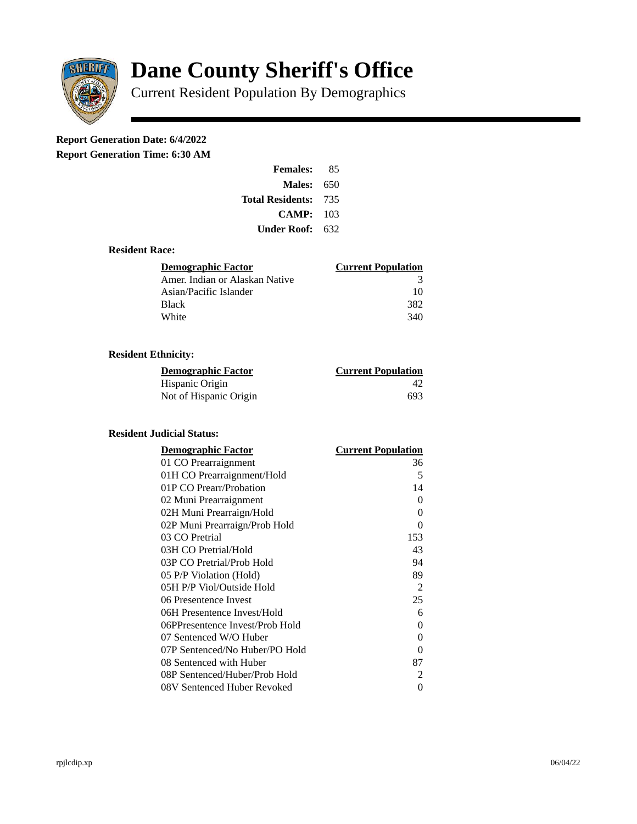

# **Dane County Sheriff's Office**

Current Resident Population By Demographics

## **Report Generation Date: 6/4/2022**

**Report Generation Time: 6:30 AM** 

| <b>Females:</b>  | 85  |
|------------------|-----|
| Males:           | 650 |
| Total Residents: | 735 |
| CAMP:            | 103 |
| Under Roof: \    | 632 |

#### **Resident Race:**

| Demographic Factor             | <b>Current Population</b> |
|--------------------------------|---------------------------|
| Amer. Indian or Alaskan Native | 3                         |
| Asian/Pacific Islander         | 10                        |
| Black                          | 382                       |
| White                          | 340                       |

### **Resident Ethnicity:**

| <u>Demographic Factor</u> | <b>Current Population</b> |
|---------------------------|---------------------------|
| Hispanic Origin           | $\Delta$ )                |
| Not of Hispanic Origin    | 693                       |

#### **Resident Judicial Status:**

| <b>Demographic Factor</b>       | <b>Current Population</b> |
|---------------------------------|---------------------------|
| 01 CO Prearraignment            | 36                        |
| 01H CO Prearraignment/Hold      | 5                         |
| 01P CO Prearr/Probation         | 14                        |
| 02 Muni Prearraignment          | 0                         |
| 02H Muni Prearraign/Hold        | 0                         |
| 02P Muni Prearraign/Prob Hold   | 0                         |
| 03 CO Pretrial                  | 153                       |
| 03H CO Pretrial/Hold            | 43                        |
| 03P CO Pretrial/Prob Hold       | 94                        |
| 05 P/P Violation (Hold)         | 89                        |
| 05H P/P Viol/Outside Hold       | 2                         |
| 06 Presentence Invest           | 25                        |
| 06H Presentence Invest/Hold     | 6                         |
| 06PPresentence Invest/Prob Hold | 0                         |
| 07 Sentenced W/O Huber          | 0                         |
| 07P Sentenced/No Huber/PO Hold  | 0                         |
| 08 Sentenced with Huber         | 87                        |
| 08P Sentenced/Huber/Prob Hold   | 2                         |
| 08V Sentenced Huber Revoked     | 0                         |